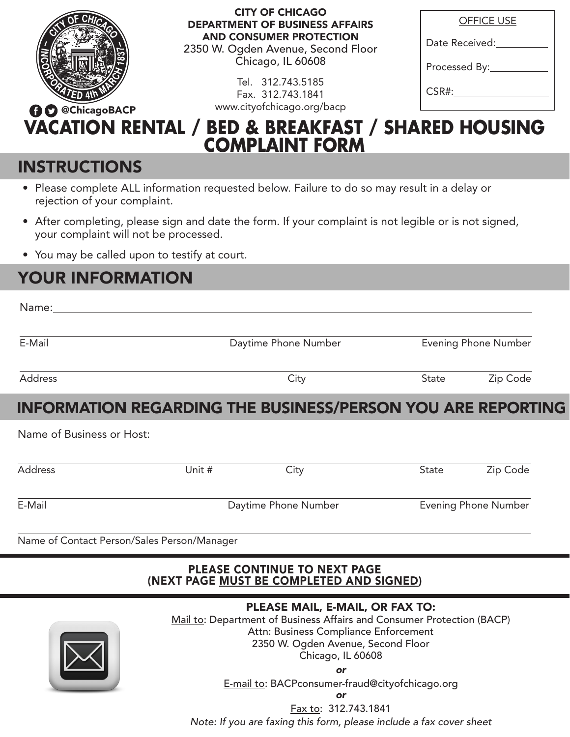

### CITY OF CHICAGO DEPARTMENT OF BUSINESS AFFAIRS AND CONSUMER PROTECTION

2350 W. Ogden Avenue, Second Floor Chicago, IL 60608

> Tel. 312.743.5185 Fax. 312.743.1841

| <b>OFFICE USE</b> |
|-------------------|
| Date Received:    |
| Processed By:     |
|                   |

CSR#:

### **VACATION RENTAL / BED & BREAKFAST / SHARED HOUSING COMPLAINT FORM** @ChicagoBACP www.cityofchicago.org/bacp

# **INSTRUCTIONS**

- Please complete ALL information requested below. Failure to do so may result in a delay or rejection of your complaint.
- After completing, please sign and date the form. If your complaint is not legible or is not signed, your complaint will not be processed.
- You may be called upon to testify at court.

# YOUR INFORMATION

| Name:___________                            |        |                                                                                                           |              |                      |
|---------------------------------------------|--------|-----------------------------------------------------------------------------------------------------------|--------------|----------------------|
| E-Mail                                      |        | Daytime Phone Number                                                                                      |              | Evening Phone Number |
| Address                                     |        | City                                                                                                      | State        | Zip Code             |
|                                             |        | <b>INFORMATION REGARDING THE BUSINESS/PERSON YOU ARE REPORTING</b>                                        |              |                      |
| Name of Business or Host:                   |        |                                                                                                           |              |                      |
| <b>Address</b>                              | Unit # | City                                                                                                      | <b>State</b> | Zip Code             |
| E-Mail                                      |        | Daytime Phone Number                                                                                      |              | Evening Phone Number |
| Name of Contact Person/Sales Person/Manager |        |                                                                                                           |              |                      |
|                                             |        | PLEASE CONTINUE TO NEXT PAGE<br>(NEXT PAGE MUST BE COMPLETED AND SIGNED)                                  |              |                      |
|                                             |        | PLEASE MAIL, E-MAIL, OR FAX TO:<br>Mail to: Department of Business Affairs and Consumer Protection (BACP) |              |                      |



Attn: Business Compliance Enforcement 2350 W. Ogden Avenue, Second Floor

Chicago, IL 60608

*or* 

E-mail to: BACPconsumer-fraud@cityofchicago.org

*or*

Fax to: 312.743.1841

*Note: If you are faxing this form, please include a fax cover sheet*